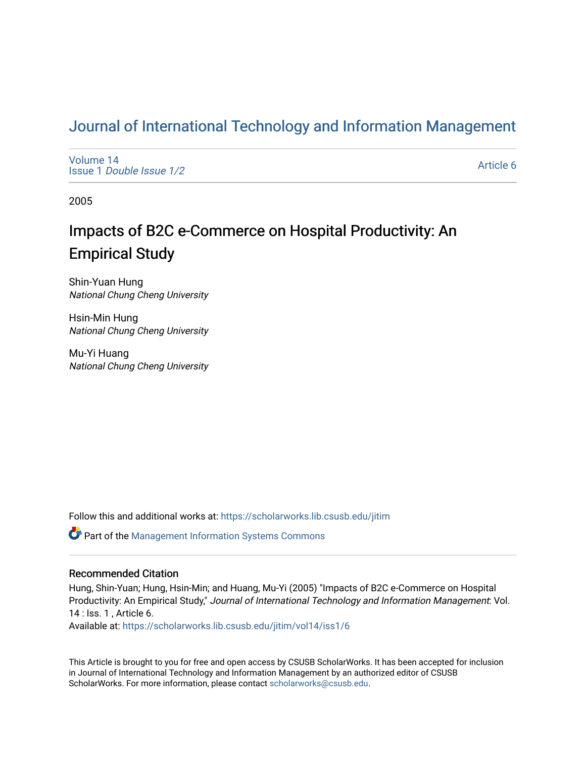## [Journal of International Technology and Information Management](https://scholarworks.lib.csusb.edu/jitim)

[Volume 14](https://scholarworks.lib.csusb.edu/jitim/vol14) Issue 1 [Double Issue 1/2](https://scholarworks.lib.csusb.edu/jitim/vol14/iss1) 

[Article 6](https://scholarworks.lib.csusb.edu/jitim/vol14/iss1/6) 

2005

# Impacts of B2C e-Commerce on Hospital Productivity: An Empirical Study

Shin-Yuan Hung National Chung Cheng University

Hsin-Min Hung National Chung Cheng University

Mu-Yi Huang National Chung Cheng University

Follow this and additional works at: [https://scholarworks.lib.csusb.edu/jitim](https://scholarworks.lib.csusb.edu/jitim?utm_source=scholarworks.lib.csusb.edu%2Fjitim%2Fvol14%2Fiss1%2F6&utm_medium=PDF&utm_campaign=PDFCoverPages) 

Part of the [Management Information Systems Commons](http://network.bepress.com/hgg/discipline/636?utm_source=scholarworks.lib.csusb.edu%2Fjitim%2Fvol14%2Fiss1%2F6&utm_medium=PDF&utm_campaign=PDFCoverPages) 

#### Recommended Citation

Hung, Shin-Yuan; Hung, Hsin-Min; and Huang, Mu-Yi (2005) "Impacts of B2C e-Commerce on Hospital Productivity: An Empirical Study," Journal of International Technology and Information Management: Vol. 14 : Iss. 1 , Article 6. Available at: [https://scholarworks.lib.csusb.edu/jitim/vol14/iss1/6](https://scholarworks.lib.csusb.edu/jitim/vol14/iss1/6?utm_source=scholarworks.lib.csusb.edu%2Fjitim%2Fvol14%2Fiss1%2F6&utm_medium=PDF&utm_campaign=PDFCoverPages) 

This Article is brought to you for free and open access by CSUSB ScholarWorks. It has been accepted for inclusion in Journal of International Technology and Information Management by an authorized editor of CSUSB ScholarWorks. For more information, please contact [scholarworks@csusb.edu.](mailto:scholarworks@csusb.edu)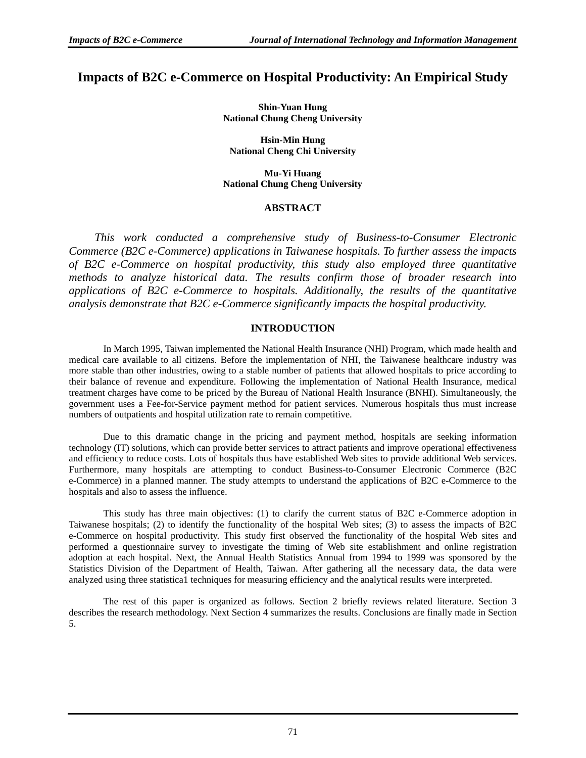### **Impacts of B2C e-Commerce on Hospital Productivity: An Empirical Study**

**Shin-Yuan Hung National Chung Cheng University** 

**Hsin-Min Hung National Cheng Chi University** 

**Mu-Yi Huang National Chung Cheng University** 

#### **ABSTRACT**

*This work conducted a comprehensive study of Business-to-Consumer Electronic Commerce (B2C e-Commerce) applications in Taiwanese hospitals. To further assess the impacts of B2C e-Commerce on hospital productivity, this study also employed three quantitative methods to analyze historical data. The results confirm those of broader research into applications of B2C e-Commerce to hospitals. Additionally, the results of the quantitative analysis demonstrate that B2C e-Commerce significantly impacts the hospital productivity.* 

#### **INTRODUCTION**

In March 1995, Taiwan implemented the National Health Insurance (NHI) Program, which made health and medical care available to all citizens. Before the implementation of NHI, the Taiwanese healthcare industry was more stable than other industries, owing to a stable number of patients that allowed hospitals to price according to their balance of revenue and expenditure. Following the implementation of National Health Insurance, medical treatment charges have come to be priced by the Bureau of National Health Insurance (BNHI). Simultaneously, the government uses a Fee-for-Service payment method for patient services. Numerous hospitals thus must increase numbers of outpatients and hospital utilization rate to remain competitive.

Due to this dramatic change in the pricing and payment method, hospitals are seeking information technology (IT) solutions, which can provide better services to attract patients and improve operational effectiveness and efficiency to reduce costs. Lots of hospitals thus have established Web sites to provide additional Web services. Furthermore, many hospitals are attempting to conduct Business-to-Consumer Electronic Commerce (B2C e-Commerce) in a planned manner. The study attempts to understand the applications of B2C e-Commerce to the hospitals and also to assess the influence.

This study has three main objectives: (1) to clarify the current status of B2C e-Commerce adoption in Taiwanese hospitals; (2) to identify the functionality of the hospital Web sites; (3) to assess the impacts of B2C e-Commerce on hospital productivity. This study first observed the functionality of the hospital Web sites and performed a questionnaire survey to investigate the timing of Web site establishment and online registration adoption at each hospital. Next, the Annual Health Statistics Annual from 1994 to 1999 was sponsored by the Statistics Division of the Department of Health, Taiwan. After gathering all the necessary data, the data were analyzed using three statistica1 techniques for measuring efficiency and the analytical results were interpreted.

The rest of this paper is organized as follows. Section 2 briefly reviews related literature. Section 3 describes the research methodology. Next Section 4 summarizes the results. Conclusions are finally made in Section 5.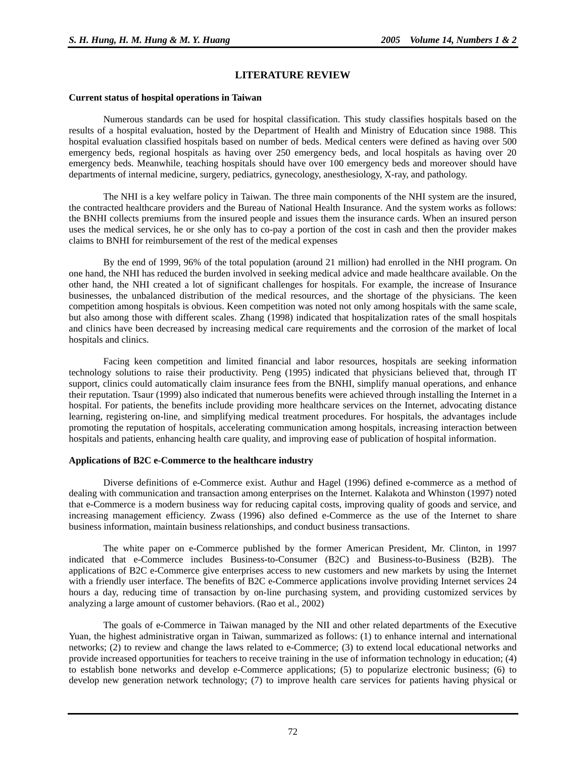#### **LITERATURE REVIEW**

#### **Current status of hospital operations in Taiwan**

Numerous standards can be used for hospital classification. This study classifies hospitals based on the results of a hospital evaluation, hosted by the Department of Health and Ministry of Education since 1988. This hospital evaluation classified hospitals based on number of beds. Medical centers were defined as having over 500 emergency beds, regional hospitals as having over 250 emergency beds, and local hospitals as having over 20 emergency beds. Meanwhile, teaching hospitals should have over 100 emergency beds and moreover should have departments of internal medicine, surgery, pediatrics, gynecology, anesthesiology, X-ray, and pathology.

The NHI is a key welfare policy in Taiwan. The three main components of the NHI system are the insured, the contracted healthcare providers and the Bureau of National Health Insurance. And the system works as follows: the BNHI collects premiums from the insured people and issues them the insurance cards. When an insured person uses the medical services, he or she only has to co-pay a portion of the cost in cash and then the provider makes claims to BNHI for reimbursement of the rest of the medical expenses

By the end of 1999, 96% of the total population (around 21 million) had enrolled in the NHI program. On one hand, the NHI has reduced the burden involved in seeking medical advice and made healthcare available. On the other hand, the NHI created a lot of significant challenges for hospitals. For example, the increase of Insurance businesses, the unbalanced distribution of the medical resources, and the shortage of the physicians. The keen competition among hospitals is obvious. Keen competition was noted not only among hospitals with the same scale, but also among those with different scales. Zhang (1998) indicated that hospitalization rates of the small hospitals and clinics have been decreased by increasing medical care requirements and the corrosion of the market of local hospitals and clinics.

Facing keen competition and limited financial and labor resources, hospitals are seeking information technology solutions to raise their productivity. Peng (1995) indicated that physicians believed that, through IT support, clinics could automatically claim insurance fees from the BNHI, simplify manual operations, and enhance their reputation. Tsaur (1999) also indicated that numerous benefits were achieved through installing the Internet in a hospital. For patients, the benefits include providing more healthcare services on the Internet, advocating distance learning, registering on-line, and simplifying medical treatment procedures. For hospitals, the advantages include promoting the reputation of hospitals, accelerating communication among hospitals, increasing interaction between hospitals and patients, enhancing health care quality, and improving ease of publication of hospital information.

#### **Applications of B2C e-Commerce to the healthcare industry**

Diverse definitions of e-Commerce exist. Authur and Hagel (1996) defined e-commerce as a method of dealing with communication and transaction among enterprises on the Internet. Kalakota and Whinston (1997) noted that e-Commerce is a modern business way for reducing capital costs, improving quality of goods and service, and increasing management efficiency. Zwass (1996) also defined e-Commerce as the use of the Internet to share business information, maintain business relationships, and conduct business transactions.

The white paper on e-Commerce published by the former American President, Mr. Clinton, in 1997 indicated that e-Commerce includes Business-to-Consumer (B2C) and Business-to-Business (B2B). The applications of B2C e-Commerce give enterprises access to new customers and new markets by using the Internet with a friendly user interface. The benefits of B2C e-Commerce applications involve providing Internet services 24 hours a day, reducing time of transaction by on-line purchasing system, and providing customized services by analyzing a large amount of customer behaviors. (Rao et al., 2002)

The goals of e-Commerce in Taiwan managed by the NII and other related departments of the Executive Yuan, the highest administrative organ in Taiwan, summarized as follows: (1) to enhance internal and international networks; (2) to review and change the laws related to e-Commerce; (3) to extend local educational networks and provide increased opportunities for teachers to receive training in the use of information technology in education; (4) to establish bone networks and develop e-Commerce applications; (5) to popularize electronic business; (6) to develop new generation network technology; (7) to improve health care services for patients having physical or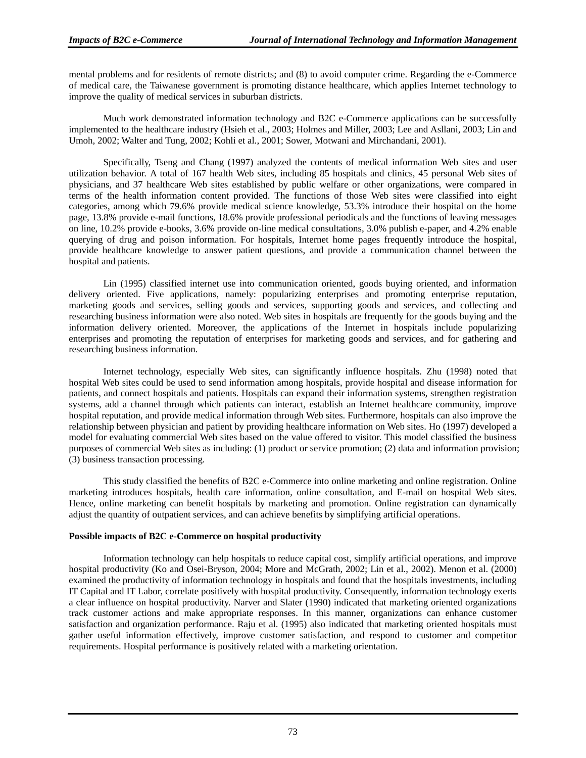mental problems and for residents of remote districts; and (8) to avoid computer crime. Regarding the e-Commerce of medical care, the Taiwanese government is promoting distance healthcare, which applies Internet technology to improve the quality of medical services in suburban districts.

Much work demonstrated information technology and B2C e-Commerce applications can be successfully implemented to the healthcare industry (Hsieh et al., 2003; Holmes and Miller, 2003; Lee and Asllani, 2003; Lin and Umoh, 2002; Walter and Tung, 2002; Kohli et al., 2001; Sower, Motwani and Mirchandani, 2001).

Specifically, Tseng and Chang (1997) analyzed the contents of medical information Web sites and user utilization behavior. A total of 167 health Web sites, including 85 hospitals and clinics, 45 personal Web sites of physicians, and 37 healthcare Web sites established by public welfare or other organizations, were compared in terms of the health information content provided. The functions of those Web sites were classified into eight categories, among which 79.6% provide medical science knowledge, 53.3% introduce their hospital on the home page, 13.8% provide e-mail functions, 18.6% provide professional periodicals and the functions of leaving messages on line, 10.2% provide e-books, 3.6% provide on-line medical consultations, 3.0% publish e-paper, and 4.2% enable querying of drug and poison information. For hospitals, Internet home pages frequently introduce the hospital, provide healthcare knowledge to answer patient questions, and provide a communication channel between the hospital and patients.

Lin (1995) classified internet use into communication oriented, goods buying oriented, and information delivery oriented. Five applications, namely: popularizing enterprises and promoting enterprise reputation, marketing goods and services, selling goods and services, supporting goods and services, and collecting and researching business information were also noted. Web sites in hospitals are frequently for the goods buying and the information delivery oriented. Moreover, the applications of the Internet in hospitals include popularizing enterprises and promoting the reputation of enterprises for marketing goods and services, and for gathering and researching business information.

Internet technology, especially Web sites, can significantly influence hospitals. Zhu (1998) noted that hospital Web sites could be used to send information among hospitals, provide hospital and disease information for patients, and connect hospitals and patients. Hospitals can expand their information systems, strengthen registration systems, add a channel through which patients can interact, establish an Internet healthcare community, improve hospital reputation, and provide medical information through Web sites. Furthermore, hospitals can also improve the relationship between physician and patient by providing healthcare information on Web sites. Ho (1997) developed a model for evaluating commercial Web sites based on the value offered to visitor. This model classified the business purposes of commercial Web sites as including: (1) product or service promotion; (2) data and information provision; (3) business transaction processing.

This study classified the benefits of B2C e-Commerce into online marketing and online registration. Online marketing introduces hospitals, health care information, online consultation, and E-mail on hospital Web sites. Hence, online marketing can benefit hospitals by marketing and promotion. Online registration can dynamically adjust the quantity of outpatient services, and can achieve benefits by simplifying artificial operations.

#### **Possible impacts of B2C e-Commerce on hospital productivity**

Information technology can help hospitals to reduce capital cost, simplify artificial operations, and improve hospital productivity (Ko and Osei-Bryson, 2004; More and McGrath, 2002; Lin et al., 2002). Menon et al. (2000) examined the productivity of information technology in hospitals and found that the hospitals investments, including IT Capital and IT Labor, correlate positively with hospital productivity. Consequently, information technology exerts a clear influence on hospital productivity. Narver and Slater (1990) indicated that marketing oriented organizations track customer actions and make appropriate responses. In this manner, organizations can enhance customer satisfaction and organization performance. Raju et al. (1995) also indicated that marketing oriented hospitals must gather useful information effectively, improve customer satisfaction, and respond to customer and competitor requirements. Hospital performance is positively related with a marketing orientation.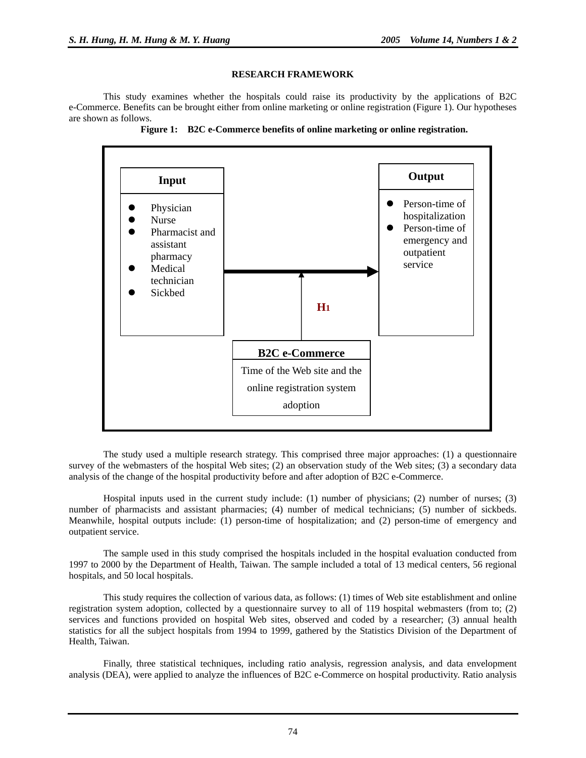#### **RESEARCH FRAMEWORK**

This study examines whether the hospitals could raise its productivity by the applications of B2C e-Commerce. Benefits can be brought either from online marketing or online registration (Figure 1). Our hypotheses are shown as follows.





The study used a multiple research strategy. This comprised three major approaches: (1) a questionnaire survey of the webmasters of the hospital Web sites; (2) an observation study of the Web sites; (3) a secondary data analysis of the change of the hospital productivity before and after adoption of B2C e-Commerce.

Hospital inputs used in the current study include: (1) number of physicians; (2) number of nurses; (3) number of pharmacists and assistant pharmacies; (4) number of medical technicians; (5) number of sickbeds. Meanwhile, hospital outputs include: (1) person-time of hospitalization; and (2) person-time of emergency and outpatient service.

The sample used in this study comprised the hospitals included in the hospital evaluation conducted from 1997 to 2000 by the Department of Health, Taiwan. The sample included a total of 13 medical centers, 56 regional hospitals, and 50 local hospitals.

This study requires the collection of various data, as follows: (1) times of Web site establishment and online registration system adoption, collected by a questionnaire survey to all of 119 hospital webmasters (from to; (2) services and functions provided on hospital Web sites, observed and coded by a researcher; (3) annual health statistics for all the subject hospitals from 1994 to 1999, gathered by the Statistics Division of the Department of Health, Taiwan.

Finally, three statistical techniques, including ratio analysis, regression analysis, and data envelopment analysis (DEA), were applied to analyze the influences of B2C e-Commerce on hospital productivity. Ratio analysis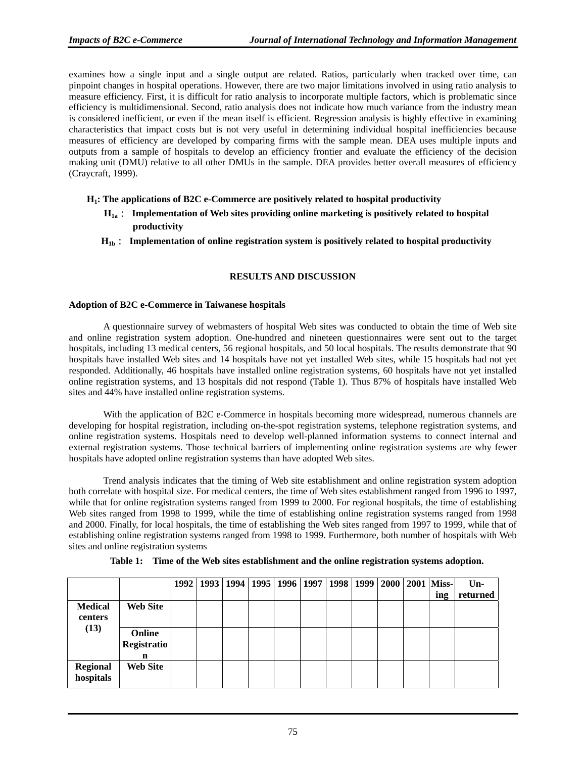examines how a single input and a single output are related. Ratios, particularly when tracked over time, can pinpoint changes in hospital operations. However, there are two major limitations involved in using ratio analysis to measure efficiency. First, it is difficult for ratio analysis to incorporate multiple factors, which is problematic since efficiency is multidimensional. Second, ratio analysis does not indicate how much variance from the industry mean is considered inefficient, or even if the mean itself is efficient. Regression analysis is highly effective in examining characteristics that impact costs but is not very useful in determining individual hospital inefficiencies because measures of efficiency are developed by comparing firms with the sample mean. DEA uses multiple inputs and outputs from a sample of hospitals to develop an efficiency frontier and evaluate the efficiency of the decision making unit (DMU) relative to all other DMUs in the sample. DEA provides better overall measures of efficiency (Craycraft, 1999).

#### **H1: The applications of B2C e-Commerce are positively related to hospital productivity**

- **H1a**: **Implementation of Web sites providing online marketing is positively related to hospital productivity**
- **H1b**: **Implementation of online registration system is positively related to hospital productivity**

#### **RESULTS AND DISCUSSION**

#### **Adoption of B2C e-Commerce in Taiwanese hospitals**

A questionnaire survey of webmasters of hospital Web sites was conducted to obtain the time of Web site and online registration system adoption. One-hundred and nineteen questionnaires were sent out to the target hospitals, including 13 medical centers, 56 regional hospitals, and 50 local hospitals. The results demonstrate that 90 hospitals have installed Web sites and 14 hospitals have not yet installed Web sites, while 15 hospitals had not yet responded. Additionally, 46 hospitals have installed online registration systems, 60 hospitals have not yet installed online registration systems, and 13 hospitals did not respond (Table 1). Thus 87% of hospitals have installed Web sites and 44% have installed online registration systems.

With the application of B2C e-Commerce in hospitals becoming more widespread, numerous channels are developing for hospital registration, including on-the-spot registration systems, telephone registration systems, and online registration systems. Hospitals need to develop well-planned information systems to connect internal and external registration systems. Those technical barriers of implementing online registration systems are why fewer hospitals have adopted online registration systems than have adopted Web sites.

Trend analysis indicates that the timing of Web site establishment and online registration system adoption both correlate with hospital size. For medical centers, the time of Web sites establishment ranged from 1996 to 1997, while that for online registration systems ranged from 1999 to 2000. For regional hospitals, the time of establishing Web sites ranged from 1998 to 1999, while the time of establishing online registration systems ranged from 1998 and 2000. Finally, for local hospitals, the time of establishing the Web sites ranged from 1997 to 1999, while that of establishing online registration systems ranged from 1998 to 1999. Furthermore, both number of hospitals with Web sites and online registration systems

|                              |                  | 1992 | 1993   1994   1995   1996   1997   1998   1999   2000 |  |  |  | <b>2001 Miss-</b><br>ing | $Un-$<br>returned |
|------------------------------|------------------|------|-------------------------------------------------------|--|--|--|--------------------------|-------------------|
| <b>Medical</b>               | <b>Web Site</b>  |      |                                                       |  |  |  |                          |                   |
| centers                      |                  |      |                                                       |  |  |  |                          |                   |
| (13)                         | Online           |      |                                                       |  |  |  |                          |                   |
|                              | Registratio<br>n |      |                                                       |  |  |  |                          |                   |
| <b>Regional</b><br>hospitals | <b>Web Site</b>  |      |                                                       |  |  |  |                          |                   |

**Table 1: Time of the Web sites establishment and the online registration systems adoption.**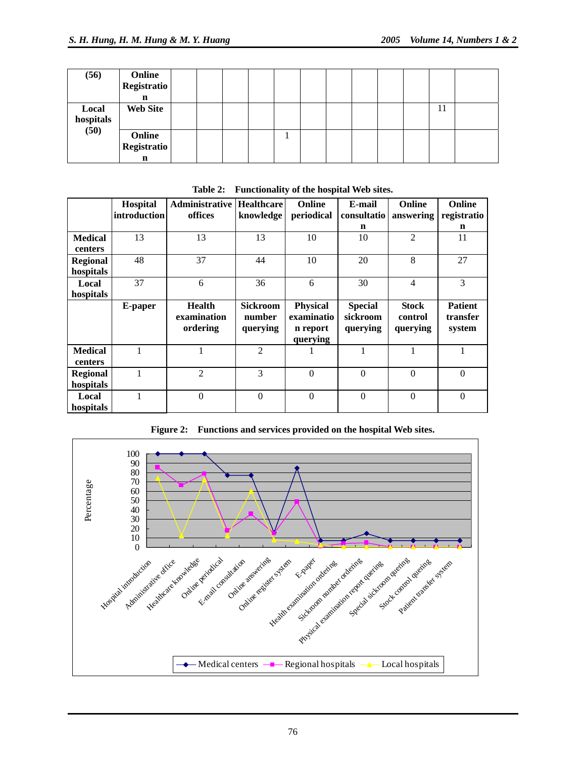| (56)               | Online<br><b>Registratio</b><br>n |  |  |  |  |  |    |  |
|--------------------|-----------------------------------|--|--|--|--|--|----|--|
| Local<br>hospitals | <b>Web Site</b>                   |  |  |  |  |  | 11 |  |
| (50)               | Online<br><b>Registratio</b><br>n |  |  |  |  |  |    |  |

|                           | Hospital<br>introduction | <b>Administrative</b><br>offices         | <b>Healthcare</b><br>knowledge        | Online<br>periodical                                  | E-mail<br>consultatio                  | Online<br>answering                 | <b>Online</b><br>registratio         |
|---------------------------|--------------------------|------------------------------------------|---------------------------------------|-------------------------------------------------------|----------------------------------------|-------------------------------------|--------------------------------------|
|                           |                          |                                          |                                       |                                                       | n                                      |                                     | n                                    |
| <b>Medical</b><br>centers | 13                       | 13                                       | 13                                    | 10                                                    | 10                                     | $\overline{2}$                      | 11                                   |
| Regional<br>hospitals     | 48                       | 37                                       | 44                                    | 10                                                    | 20                                     | 8                                   | 27                                   |
| Local<br>hospitals        | 37                       | 6                                        | 36                                    | 6                                                     | 30                                     | $\overline{4}$                      | 3                                    |
|                           | E-paper                  | <b>Health</b><br>examination<br>ordering | <b>Sickroom</b><br>number<br>querying | <b>Physical</b><br>examinatio<br>n report<br>querying | <b>Special</b><br>sickroom<br>querying | <b>Stock</b><br>control<br>querying | <b>Patient</b><br>transfer<br>system |
| <b>Medical</b><br>centers | 1                        | 1                                        | $\overline{2}$                        |                                                       | 1                                      | 1                                   |                                      |
| Regional<br>hospitals     | 1                        | $\overline{2}$                           | 3                                     | $\Omega$                                              | $\theta$                               | $\theta$                            | $\mathbf{0}$                         |
| Local<br>hospitals        | 1                        | $\overline{0}$                           | $\theta$                              | $\mathbf{0}$                                          | $\theta$                               | $\mathbf{0}$                        | $\overline{0}$                       |

**Table 2: Functionality of the hospital Web sites.**



**Figure 2: Functions and services provided on the hospital Web sites.**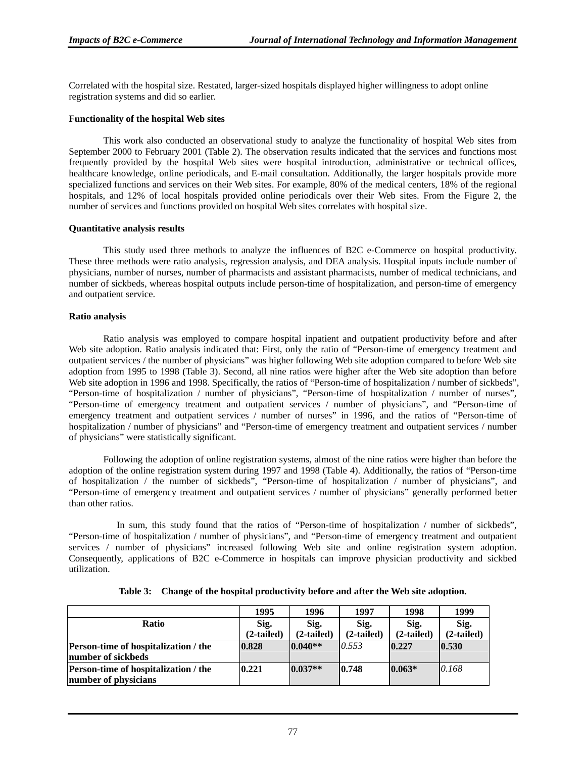Correlated with the hospital size. Restated, larger-sized hospitals displayed higher willingness to adopt online registration systems and did so earlier.

#### **Functionality of the hospital Web sites**

This work also conducted an observational study to analyze the functionality of hospital Web sites from September 2000 to February 2001 (Table 2). The observation results indicated that the services and functions most frequently provided by the hospital Web sites were hospital introduction, administrative or technical offices, healthcare knowledge, online periodicals, and E-mail consultation. Additionally, the larger hospitals provide more specialized functions and services on their Web sites. For example, 80% of the medical centers, 18% of the regional hospitals, and 12% of local hospitals provided online periodicals over their Web sites. From the Figure 2, the number of services and functions provided on hospital Web sites correlates with hospital size.

#### **Quantitative analysis results**

This study used three methods to analyze the influences of B2C e-Commerce on hospital productivity. These three methods were ratio analysis, regression analysis, and DEA analysis. Hospital inputs include number of physicians, number of nurses, number of pharmacists and assistant pharmacists, number of medical technicians, and number of sickbeds, whereas hospital outputs include person-time of hospitalization, and person-time of emergency and outpatient service.

#### **Ratio analysis**

Ratio analysis was employed to compare hospital inpatient and outpatient productivity before and after Web site adoption. Ratio analysis indicated that: First, only the ratio of "Person-time of emergency treatment and outpatient services / the number of physicians" was higher following Web site adoption compared to before Web site adoption from 1995 to 1998 (Table 3). Second, all nine ratios were higher after the Web site adoption than before Web site adoption in 1996 and 1998. Specifically, the ratios of "Person-time of hospitalization / number of sickbeds", "Person-time of hospitalization / number of physicians", "Person-time of hospitalization / number of nurses", "Person-time of emergency treatment and outpatient services / number of physicians", and "Person-time of emergency treatment and outpatient services / number of nurses" in 1996, and the ratios of "Person-time of hospitalization / number of physicians" and "Person-time of emergency treatment and outpatient services / number of physicians" were statistically significant.

Following the adoption of online registration systems, almost of the nine ratios were higher than before the adoption of the online registration system during 1997 and 1998 (Table 4). Additionally, the ratios of "Person-time of hospitalization / the number of sickbeds", "Person-time of hospitalization / number of physicians", and "Person-time of emergency treatment and outpatient services / number of physicians" generally performed better than other ratios.

In sum, this study found that the ratios of "Person-time of hospitalization / number of sickbeds", "Person-time of hospitalization / number of physicians", and "Person-time of emergency treatment and outpatient services / number of physicians" increased following Web site and online registration system adoption. Consequently, applications of B2C e-Commerce in hospitals can improve physician productivity and sickbed utilization.

|                                             | 1995       | 1996        | 1997         | 1998         | 1999         |
|---------------------------------------------|------------|-------------|--------------|--------------|--------------|
| <b>Ratio</b>                                | Sig.       | Sig.        | Sig.         | Sig.         | Sig.         |
|                                             | (2-tailed) | (2-tailed)  | $(2-tailed)$ | $(2-tailed)$ | $(2-tailed)$ |
| Person-time of hospitalization / the        | 0.828      | $ 0.040** $ | 0.553        | 0.227        | 0.530        |
| number of sickbeds                          |            |             |              |              |              |
| <b>Person-time of hospitalization / the</b> | 0.221      | $0.037**$   | 0.748        | $0.063*$     | 0.168        |
| number of physicians                        |            |             |              |              |              |

**Table 3: Change of the hospital productivity before and after the Web site adoption.**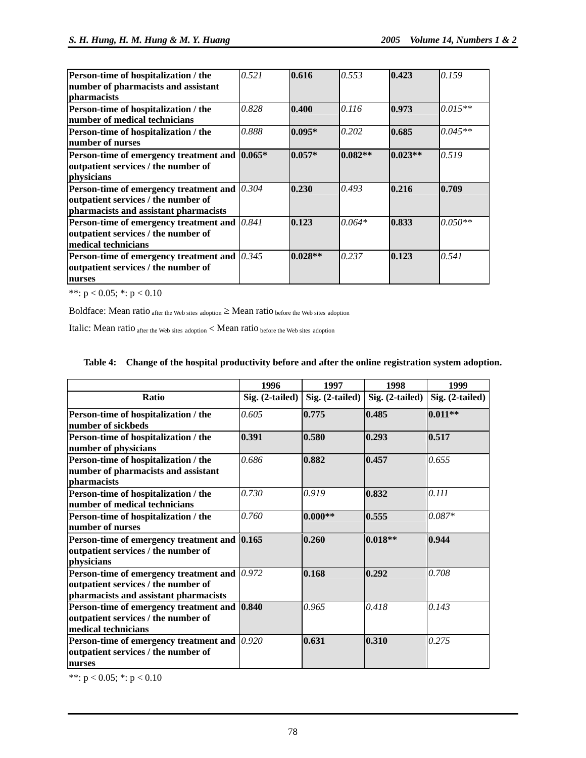| Person-time of hospitalization / the                     | 0.521 | 0.616     | 0.553     | 0.423     | 0.159     |
|----------------------------------------------------------|-------|-----------|-----------|-----------|-----------|
| number of pharmacists and assistant                      |       |           |           |           |           |
| pharmacists                                              |       |           |           |           |           |
| Person-time of hospitalization / the                     | 0.828 | 0.400     | 0.116     | 0.973     | $0.015**$ |
| number of medical technicians                            |       |           |           |           |           |
| Person-time of hospitalization / the                     | 0.888 | $0.095*$  | 0.202     | 0.685     | $0.045**$ |
| number of nurses                                         |       |           |           |           |           |
| Person-time of emergency treatment and 0.065*            |       | $0.057*$  | $0.082**$ | $0.023**$ | 0.519     |
| outpatient services / the number of                      |       |           |           |           |           |
| physicians                                               |       |           |           |           |           |
| <b>Person-time of emergency treatment and </b> $[0.304]$ |       | 0.230     | 0.493     | 0.216     | 0.709     |
| outpatient services / the number of                      |       |           |           |           |           |
| pharmacists and assistant pharmacists                    |       |           |           |           |           |
| <b>Person-time of emergency treatment and </b> $[0.841]$ |       | 0.123     | $0.064*$  | 0.833     | $0.050**$ |
| outpatient services / the number of                      |       |           |           |           |           |
| medical technicians                                      |       |           |           |           |           |
| <b>Person-time of emergency treatment and </b> $[0.345]$ |       | $0.028**$ | 0.237     | 0.123     | 0.541     |
| outpatient services / the number of                      |       |           |           |           |           |
| nurses                                                   |       |           |           |           |           |

\*\*:  $p < 0.05$ ; \*:  $p < 0.10$ 

Boldface: Mean ratio  $_{after\,the\,Web\, sites\, adoption} \geq Mean\, ratio\, before\, the\, Web\, sites\, adoption}$ 

Italic: Mean ratio after the Web sites adoption < Mean ratio before the Web sites adoption

#### **Table 4: Change of the hospital productivity before and after the online registration system adoption.**

|                                                  | 1996              | 1997            | 1998            | 1999            |
|--------------------------------------------------|-------------------|-----------------|-----------------|-----------------|
| <b>Ratio</b>                                     | $Sig. (2-tailed)$ | Sig. (2-tailed) | Sig. (2-tailed) | Sig. (2-tailed) |
| Person-time of hospitalization / the             | 0.605             | 0.775           | 0.485           | $0.011**$       |
| number of sickbeds                               |                   |                 |                 |                 |
| Person-time of hospitalization / the             | 0.391             | 0.580           | 0.293           | 0.517           |
| number of physicians                             |                   |                 |                 |                 |
| Person-time of hospitalization / the             | 0.686             | 0.882           | 0.457           | 0.655           |
| number of pharmacists and assistant              |                   |                 |                 |                 |
| pharmacists                                      |                   |                 |                 |                 |
| Person-time of hospitalization / the             | 0.730             | 0.919           | 0.832           | 0.111           |
| number of medical technicians                    |                   |                 |                 |                 |
| Person-time of hospitalization / the             | 0.760             | $0.000**$       | 0.555           | $0.087*$        |
| number of nurses                                 |                   |                 |                 |                 |
| Person-time of emergency treatment and 0.165     |                   | 0.260           | $0.018**$       | 0.944           |
| outpatient services / the number of              |                   |                 |                 |                 |
| physicians                                       |                   |                 |                 |                 |
| Person-time of emergency treatment and $(0.972)$ |                   | 0.168           | 0.292           | 0.708           |
| outpatient services / the number of              |                   |                 |                 |                 |
| pharmacists and assistant pharmacists            |                   |                 |                 |                 |
| Person-time of emergency treatment and 0.840     |                   | 0.965           | 0.418           | 0.143           |
| outpatient services / the number of              |                   |                 |                 |                 |
| medical technicians                              |                   |                 |                 |                 |
| Person-time of emergency treatment and           | 0.920             | 0.631           | 0.310           | 0.275           |
| outpatient services / the number of              |                   |                 |                 |                 |
| nurses                                           |                   |                 |                 |                 |

\*\*:  $p < 0.05$ ; \*:  $p < 0.10$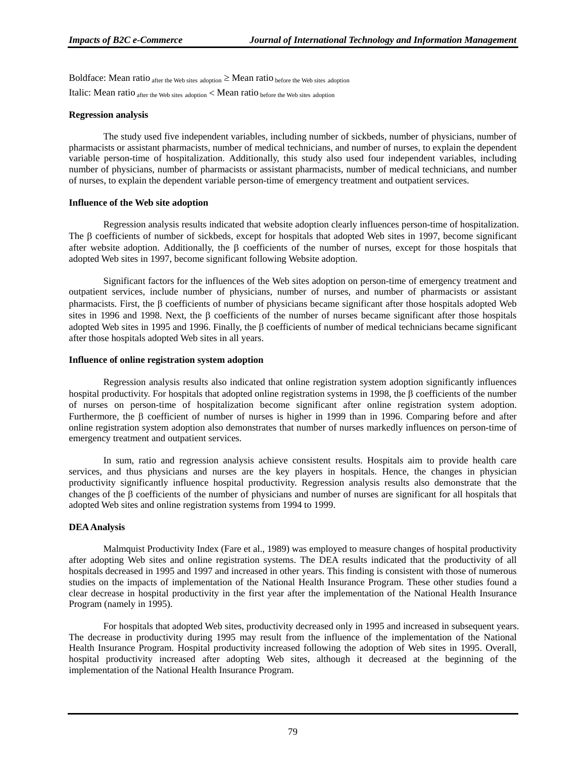Boldface: Mean ratio  $_{\text{after the Web sites adoption}} \geq$  Mean ratio  $_{\text{before the Web sites adoption}}$ Italic: Mean ratio  $_{\text{after the Web sites adoption}}$  < Mean ratio  $_{\text{before the Web sites adoption}}$ 

#### **Regression analysis**

The study used five independent variables, including number of sickbeds, number of physicians, number of pharmacists or assistant pharmacists, number of medical technicians, and number of nurses, to explain the dependent variable person-time of hospitalization. Additionally, this study also used four independent variables, including number of physicians, number of pharmacists or assistant pharmacists, number of medical technicians, and number of nurses, to explain the dependent variable person-time of emergency treatment and outpatient services.

#### **Influence of the Web site adoption**

Regression analysis results indicated that website adoption clearly influences person-time of hospitalization. The β coefficients of number of sickbeds, except for hospitals that adopted Web sites in 1997, become significant after website adoption. Additionally, the  $\beta$  coefficients of the number of nurses, except for those hospitals that adopted Web sites in 1997, become significant following Website adoption.

Significant factors for the influences of the Web sites adoption on person-time of emergency treatment and outpatient services, include number of physicians, number of nurses, and number of pharmacists or assistant pharmacists. First, the β coefficients of number of physicians became significant after those hospitals adopted Web sites in 1996 and 1998. Next, the β coefficients of the number of nurses became significant after those hospitals adopted Web sites in 1995 and 1996. Finally, the β coefficients of number of medical technicians became significant after those hospitals adopted Web sites in all years.

#### **Influence of online registration system adoption**

Regression analysis results also indicated that online registration system adoption significantly influences hospital productivity. For hospitals that adopted online registration systems in 1998, the β coefficients of the number of nurses on person-time of hospitalization become significant after online registration system adoption. Furthermore, the β coefficient of number of nurses is higher in 1999 than in 1996. Comparing before and after online registration system adoption also demonstrates that number of nurses markedly influences on person-time of emergency treatment and outpatient services.

In sum, ratio and regression analysis achieve consistent results. Hospitals aim to provide health care services, and thus physicians and nurses are the key players in hospitals. Hence, the changes in physician productivity significantly influence hospital productivity. Regression analysis results also demonstrate that the changes of the  $\beta$  coefficients of the number of physicians and number of nurses are significant for all hospitals that adopted Web sites and online registration systems from 1994 to 1999.

#### **DEA Analysis**

Malmquist Productivity Index (Fare et al., 1989) was employed to measure changes of hospital productivity after adopting Web sites and online registration systems. The DEA results indicated that the productivity of all hospitals decreased in 1995 and 1997 and increased in other years. This finding is consistent with those of numerous studies on the impacts of implementation of the National Health Insurance Program. These other studies found a clear decrease in hospital productivity in the first year after the implementation of the National Health Insurance Program (namely in 1995).

For hospitals that adopted Web sites, productivity decreased only in 1995 and increased in subsequent years. The decrease in productivity during 1995 may result from the influence of the implementation of the National Health Insurance Program. Hospital productivity increased following the adoption of Web sites in 1995. Overall, hospital productivity increased after adopting Web sites, although it decreased at the beginning of the implementation of the National Health Insurance Program.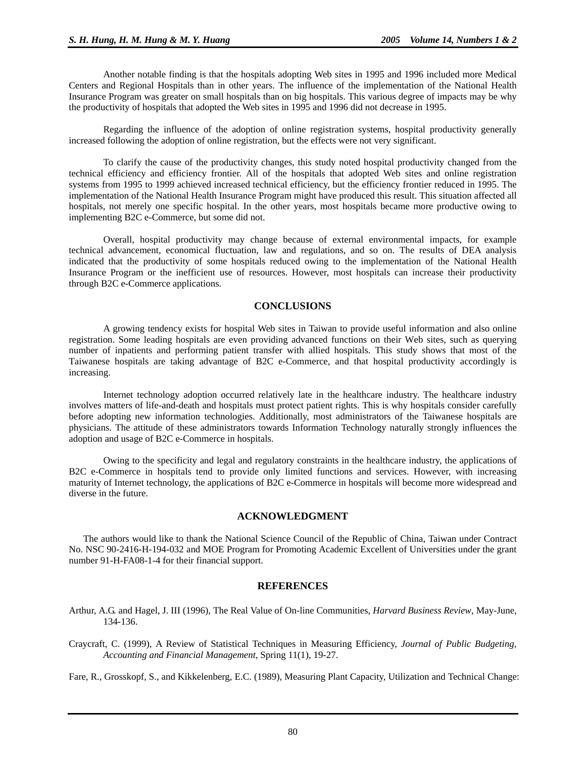Another notable finding is that the hospitals adopting Web sites in 1995 and 1996 included more Medical Centers and Regional Hospitals than in other years. The influence of the implementation of the National Health Insurance Program was greater on small hospitals than on big hospitals. This various degree of impacts may be why the productivity of hospitals that adopted the Web sites in 1995 and 1996 did not decrease in 1995.

Regarding the influence of the adoption of online registration systems, hospital productivity generally increased following the adoption of online registration, but the effects were not very significant.

To clarify the cause of the productivity changes, this study noted hospital productivity changed from the technical efficiency and efficiency frontier. All of the hospitals that adopted Web sites and online registration systems from 1995 to 1999 achieved increased technical efficiency, but the efficiency frontier reduced in 1995. The implementation of the National Health Insurance Program might have produced this result. This situation affected all hospitals, not merely one specific hospital. In the other years, most hospitals became more productive owing to implementing B2C e-Commerce, but some did not.

Overall, hospital productivity may change because of external environmental impacts, for example technical advancement, economical fluctuation, law and regulations, and so on. The results of DEA analysis indicated that the productivity of some hospitals reduced owing to the implementation of the National Health Insurance Program or the inefficient use of resources. However, most hospitals can increase their productivity through B2C e-Commerce applications.

#### **CONCLUSIONS**

A growing tendency exists for hospital Web sites in Taiwan to provide useful information and also online registration. Some leading hospitals are even providing advanced functions on their Web sites, such as querying number of inpatients and performing patient transfer with allied hospitals. This study shows that most of the Taiwanese hospitals are taking advantage of B2C e-Commerce, and that hospital productivity accordingly is increasing.

Internet technology adoption occurred relatively late in the healthcare industry. The healthcare industry involves matters of life-and-death and hospitals must protect patient rights. This is why hospitals consider carefully before adopting new information technologies. Additionally, most administrators of the Taiwanese hospitals are physicians. The attitude of these administrators towards Information Technology naturally strongly influences the adoption and usage of B2C e-Commerce in hospitals.

Owing to the specificity and legal and regulatory constraints in the healthcare industry, the applications of B2C e-Commerce in hospitals tend to provide only limited functions and services. However, with increasing maturity of Internet technology, the applications of B2C e-Commerce in hospitals will become more widespread and diverse in the future.

#### **ACKNOWLEDGMENT**

The authors would like to thank the National Science Council of the Republic of China, Taiwan under Contract No. NSC 90-2416-H-194-032 and MOE Program for Promoting Academic Excellent of Universities under the grant number 91-H-FA08-1-4 for their financial support.

#### **REFERENCES**

- Arthur, A.G. and Hagel, J. III (1996), The Real Value of On-line Communities, *Harvard Business Review*, May-June, 134-136.
- Craycraft, C. (1999), A Review of Statistical Techniques in Measuring Efficiency, *Journal of Public Budgeting, Accounting and Financial Management*, Spring 11(1), 19-27.

Fare, R., Grosskopf, S., and Kikkelenberg, E.C. (1989), Measuring Plant Capacity, Utilization and Technical Change: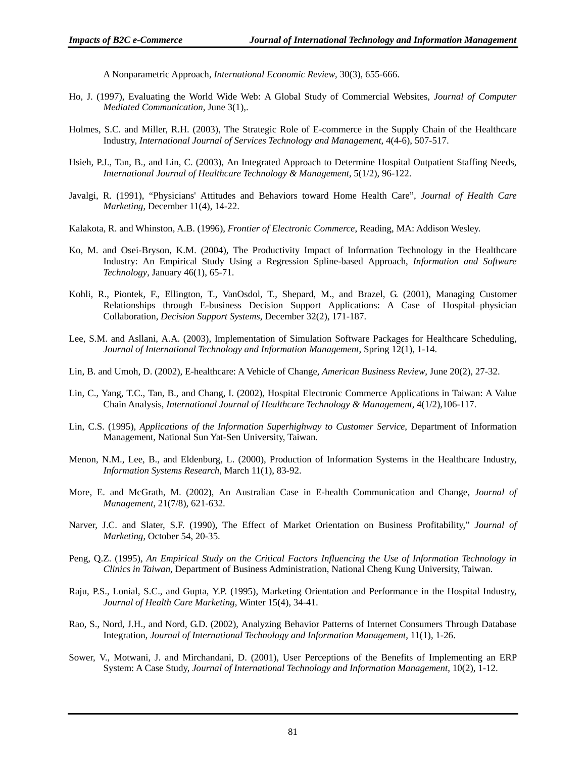A Nonparametric Approach, *International Economic Review*, 30(3), 655-666.

- Ho, J. (1997), Evaluating the World Wide Web: A Global Study of Commercial Websites, *Journal of Computer Mediated Communication*, June 3(1),.
- Holmes, S.C. and Miller, R.H. (2003), The Strategic Role of E-commerce in the Supply Chain of the Healthcare Industry, *International Journal of Services Technology and Management*, 4(4-6), 507-517.
- Hsieh, P.J., Tan, B., and Lin, C. (2003), An Integrated Approach to Determine Hospital Outpatient Staffing Needs, *International Journal of Healthcare Technology & Management*, 5(1/2), 96-122.
- Javalgi, R. (1991), "Physicians' Attitudes and Behaviors toward Home Health Care", *Journal of Health Care Marketing*, December 11(4), 14-22.
- Kalakota, R. and Whinston, A.B. (1996), *Frontier of Electronic Commerce*, Reading, MA: Addison Wesley.
- Ko, M. and Osei-Bryson, K.M. (2004), The Productivity Impact of Information Technology in the Healthcare Industry: An Empirical Study Using a Regression Spline-based Approach, *Information and Software Technology*, January 46(1), 65-71.
- Kohli, R., Piontek, F., Ellington, T., VanOsdol, T., Shepard, M., and Brazel, G. (2001), Managing Customer Relationships through E-business Decision Support Applications: A Case of Hospital–physician Collaboration, *Decision Support Systems*, December 32(2), 171-187.
- Lee, S.M. and Asllani, A.A. (2003), Implementation of Simulation Software Packages for Healthcare Scheduling, *Journal of International Technology and Information Management*, Spring 12(1), 1-14.
- Lin, B. and Umoh, D. (2002), E-healthcare: A Vehicle of Change, *American Business Review*, June 20(2), 27-32.
- Lin, C., Yang, T.C., Tan, B., and Chang, I. (2002), Hospital Electronic Commerce Applications in Taiwan: A Value Chain Analysis, *International Journal of Healthcare Technology & Management*, 4(1/2),106-117.
- Lin, C.S. (1995), *Applications of the Information Superhighway to Customer Service*, Department of Information Management, National Sun Yat-Sen University, Taiwan.
- Menon, N.M., Lee, B., and Eldenburg, L. (2000), Production of Information Systems in the Healthcare Industry, *Information Systems Research*, March 11(1), 83-92.
- More, E. and McGrath, M. (2002), An Australian Case in E-health Communication and Change, *Journal of Management*, 21(7/8), 621-632.
- Narver, J.C. and Slater, S.F. (1990), The Effect of Market Orientation on Business Profitability," *Journal of Marketing*, October 54, 20-35.
- Peng, Q.Z. (1995), *An Empirical Study on the Critical Factors Influencing the Use of Information Technology in Clinics in Taiwan*, Department of Business Administration, National Cheng Kung University, Taiwan.
- Raju, P.S., Lonial, S.C., and Gupta, Y.P. (1995), Marketing Orientation and Performance in the Hospital Industry, *Journal of Health Care Marketing*, Winter 15(4), 34-41.
- Rao, S., Nord, J.H., and Nord, G.D. (2002), Analyzing Behavior Patterns of Internet Consumers Through Database Integration, *Journal of International Technology and Information Management*, 11(1), 1-26.
- Sower, V., Motwani, J. and Mirchandani, D. (2001), User Perceptions of the Benefits of Implementing an ERP System: A Case Study, *Journal of International Technology and Information Management*, 10(2), 1-12.